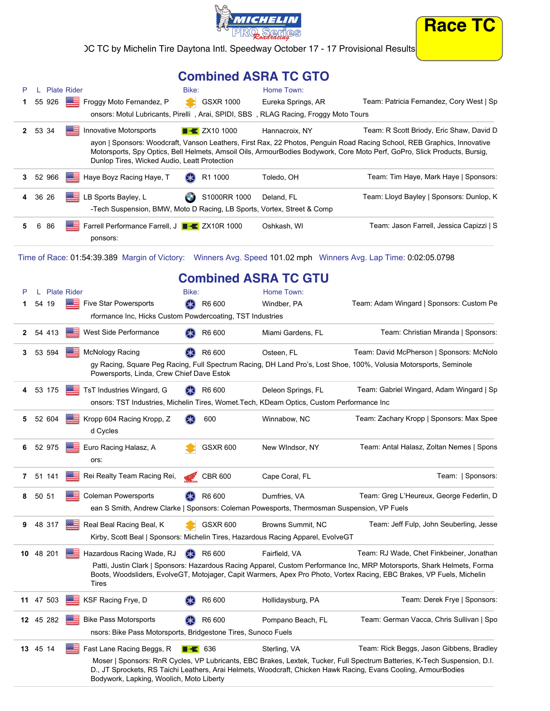



IC TC by Michelin Tire Daytona Intl. Speedway October 17 - 17 Provisional Results

## **Combined ASRA TC GTO**

|          | <b>Plate Rider</b> | Bike:                                                                                                    |                         | Home Town:         |                                                                                                                                                                                                                                                      |
|----------|--------------------|----------------------------------------------------------------------------------------------------------|-------------------------|--------------------|------------------------------------------------------------------------------------------------------------------------------------------------------------------------------------------------------------------------------------------------------|
|          |                    | 55 926 Froggy Moto Fernandez, P<br>S.                                                                    | <b>GSXR 1000</b>        | Eureka Springs, AR | Team: Patricia Fernandez, Cory West   Sp                                                                                                                                                                                                             |
|          |                    | onsors: Motul Lubricants, Pirelli, Arai, SPIDI, SBS, RLAG Racing, Froggy Moto Tours                      |                         |                    |                                                                                                                                                                                                                                                      |
| 2 53 34  | ※三                 | Innovative Motorsports                                                                                   | $\rightarrow$ ZX10 1000 | Hannacroix, NY     | Team: R Scott Briody, Eric Shaw, David D                                                                                                                                                                                                             |
|          |                    | Dunlop Tires, Wicked Audio, Leatt Protection                                                             |                         |                    | ayon   Sponsors: Woodcraft, Vanson Leathers, First Rax, 22 Photos, Penguin Road Racing School, REB Graphics, Innovative<br>Motorsports, Spy Optics, Bell Helmets, Amsoil Oils, ArmourBodies Bodywork, Core Moto Perf, GoPro, Slick Products, Bursig, |
| 3 52 966 |                    | Haye Boyz Racing Haye, T<br>$(* \ast)$                                                                   | R1 1000                 | Toledo, OH         | Team: Tim Haye, Mark Haye   Sponsors:                                                                                                                                                                                                                |
| 4 36 26  |                    | <b>BEE</b> LB Sports Bayley, L<br>-Tech Suspension, BMW, Moto D Racing, LB Sports, Vortex, Street & Comp | S1000RR 1000            | Deland, FL         | Team: Lloyd Bayley   Sponsors: Dunlop, K                                                                                                                                                                                                             |
| 86<br>6  |                    | <b>EXAMPLE Farrell Performance Farrell, J F &amp; ZX10R 1000</b><br>ponsors:                             |                         | Oshkash, WI        | Team: Jason Farrell, Jessica Capizzi   S                                                                                                                                                                                                             |

Time of Race: 01:54:39.389 Margin of Victory: Winners Avg. Speed 101.02 mph Winners Avg. Lap Time: 0:02:05.0798

## **Combined ASRA TC GTU**

| P              | L. |           | <b>Plate Rider</b> |                                                                                            | Bike:              |                    | Home Town:               |                                                                                                                                                                                                                                                  |
|----------------|----|-----------|--------------------|--------------------------------------------------------------------------------------------|--------------------|--------------------|--------------------------|--------------------------------------------------------------------------------------------------------------------------------------------------------------------------------------------------------------------------------------------------|
| 1              |    | 54 19     |                    | Five Star Powersports                                                                      | $(* )$             | R6 600             | Windber, PA              | Team: Adam Wingard   Sponsors: Custom Pe                                                                                                                                                                                                         |
|                |    |           |                    | rformance Inc, Hicks Custom Powdercoating, TST Industries                                  |                    |                    |                          |                                                                                                                                                                                                                                                  |
| $\mathbf{2}$   |    | 54 413    | ⋙                  | West Side Performance                                                                      |                    | R6 600             | Miami Gardens, FL        | Team: Christian Miranda   Sponsors:                                                                                                                                                                                                              |
| 3              |    | 53 594    | <b>BBE</b>         | <b>McNology Racing</b>                                                                     | (≸≳)               | R6 600             | Osteen, FL               | Team: David McPherson   Sponsors: McNolo                                                                                                                                                                                                         |
|                |    |           |                    | Powersports, Linda, Crew Chief Dave Estok                                                  |                    |                    |                          | gy Racing, Square Peg Racing, Full Spectrum Racing, DH Land Pro's, Lost Shoe, 100%, Volusia Motorsports, Seminole                                                                                                                                |
| 4              |    | 53 175    |                    | TsT Industries Wingard, G                                                                  |                    | R6 600             | Deleon Springs, FL       | Team: Gabriel Wingard, Adam Wingard   Sp                                                                                                                                                                                                         |
|                |    |           |                    | onsors: TST Industries, Michelin Tires, Womet. Tech, KDeam Optics, Custom Performance Inc  |                    |                    |                          |                                                                                                                                                                                                                                                  |
| 5              |    | 52 604    |                    | Kropp 604 Racing Kropp, Z<br>d Cycles                                                      |                    | 600                | Winnabow, NC             | Team: Zachary Kropp   Sponsors: Max Spee                                                                                                                                                                                                         |
| 6              |    | 52 975    | ⋙                  | Euro Racing Halasz, A<br>ors:                                                              |                    | <b>GSXR 600</b>    | New WIndsor, NY          | Team: Antal Halasz, Zoltan Nemes   Spons                                                                                                                                                                                                         |
| $\overline{7}$ |    | 51 141    | ⋙≡                 | Rei Realty Team Racing Rei,                                                                |                    | <b>CBR 600</b>     | Cape Coral, FL           | Team:   Sponsors:                                                                                                                                                                                                                                |
| 8              |    | 50 51     |                    | <b>Coleman Powersports</b>                                                                 |                    | R6 600             | Dumfries, VA             | Team: Greg L'Heureux, George Federlin, D                                                                                                                                                                                                         |
|                |    |           |                    | ean S Smith, Andrew Clarke   Sponsors: Coleman Powesports, Thermosman Suspension, VP Fuels |                    |                    |                          |                                                                                                                                                                                                                                                  |
| 9              |    | 48 317    |                    | Real Beal Racing Beal, K                                                                   |                    | <b>GSXR 600</b>    | <b>Browns Summit, NC</b> | Team: Jeff Fulp, John Seuberling, Jesse                                                                                                                                                                                                          |
|                |    |           |                    | Kirby, Scott Beal   Sponsors: Michelin Tires, Hazardous Racing Apparel, EvolveGT           |                    |                    |                          |                                                                                                                                                                                                                                                  |
|                |    | 10 48 201 |                    | <b>WE Hazardous Racing Wade, RJ</b>                                                        | $(\divideontimes)$ | R6 600             | Fairfield, VA            | Team: RJ Wade, Chet Finkbeiner, Jonathan                                                                                                                                                                                                         |
|                |    |           |                    | <b>Tires</b>                                                                               |                    |                    |                          | Patti, Justin Clark   Sponsors: Hazardous Racing Apparel, Custom Performance Inc, MRP Motorsports, Shark Helmets, Forma<br>Boots, Woodsliders, EvolveGT, Motojager, Capit Warmers, Apex Pro Photo, Vortex Racing, EBC Brakes, VP Fuels, Michelin |
|                |    | 11 47 503 |                    | KSF Racing Frye, D                                                                         |                    | R6 600             | Hollidaysburg, PA        | Team: Derek Frye   Sponsors:                                                                                                                                                                                                                     |
|                |    | 12 45 282 |                    | <b>Bike Pass Motorsports</b>                                                               | (≱≲)               | R6 600             | Pompano Beach, FL        | Team: German Vacca, Chris Sullivan   Spo                                                                                                                                                                                                         |
|                |    |           |                    | nsors: Bike Pass Motorsports, Bridgestone Tires, Sunoco Fuels                              |                    |                    |                          |                                                                                                                                                                                                                                                  |
|                |    | 13 45 14  |                    | Fast Lane Racing Beggs, R                                                                  |                    | $\blacksquare$ 636 | Sterling, VA             | Team: Rick Beggs, Jason Gibbens, Bradley                                                                                                                                                                                                         |
|                |    |           |                    | Bodywork, Lapking, Woolich, Moto Liberty                                                   |                    |                    |                          | Moser   Sponsors: RnR Cycles, VP Lubricants, EBC Brakes, Lextek, Tucker, Full Spectrum Batteries, K-Tech Suspension, D.I.<br>D., JT Sprockets, RS Taichi Leathers, Arai Helmets, Woodcraft, Chicken Hawk Racing, Evans Cooling, ArmourBodies     |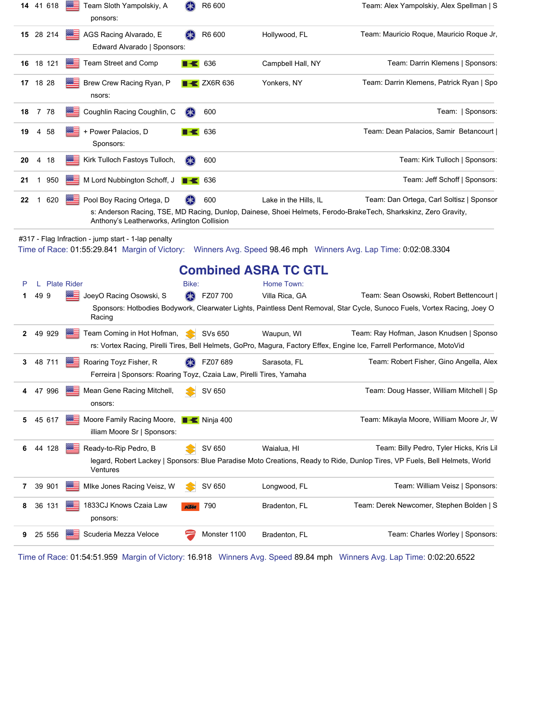|              |                | 14 41 618 | <b>Back</b>        | Team Sloth Yampolskiy, A<br>ponsors:                                                          | <b>SK</b>  | R6 600                            |                             | Team: Alex Yampolskiy, Alex Spellman   S                                                                                                                               |
|--------------|----------------|-----------|--------------------|-----------------------------------------------------------------------------------------------|------------|-----------------------------------|-----------------------------|------------------------------------------------------------------------------------------------------------------------------------------------------------------------|
|              |                | 15 28 214 |                    | AGS Racing Alvarado, E<br>Edward Alvarado   Sponsors:                                         |            | R6 600                            | Hollywood, FL               | Team: Mauricio Roque, Mauricio Roque Jr,                                                                                                                               |
|              |                | 16 18 121 |                    | Team Street and Comp                                                                          |            | $\blacksquare$ 636                | Campbell Hall, NY           | Team: Darrin Klemens   Sponsors:                                                                                                                                       |
|              |                | 17 18 28  |                    | Brew Crew Racing Ryan, P<br>nsors:                                                            |            | $\overline{\phantom{1}}$ ZX6R 636 | Yonkers, NY                 | Team: Darrin Klemens, Patrick Ryan   Spo                                                                                                                               |
| 18           | $\overline{7}$ | -78       |                    | Coughlin Racing Coughlin, C                                                                   | $(* )$     | 600                               |                             | Team:   Sponsors:                                                                                                                                                      |
| 19           | 4              | 58        |                    | + Power Palacios, D<br>Sponsors:                                                              |            | 636                               |                             | Team: Dean Palacios, Samir Betancourt                                                                                                                                  |
| 20           | 4              | 18        |                    | Kirk Tulloch Fastoys Tulloch,                                                                 | (米)        | 600                               |                             | Team: Kirk Tulloch   Sponsors:                                                                                                                                         |
| 21           | 1              | 950       |                    | M Lord Nubbington Schoff, J                                                                   |            | 636                               |                             | Team: Jeff Schoff   Sponsors:                                                                                                                                          |
| 22           | 1              | 620       |                    | Pool Boy Racing Ortega, D<br>Anthony's Leatherworks, Arlington Collision                      |            | 600                               | Lake in the Hills, IL       | Team: Dan Ortega, Carl Soltisz   Sponsor<br>s: Anderson Racing, TSE, MD Racing, Dunlop, Dainese, Shoei Helmets, Ferodo-BrakeTech, Sharkskinz, Zero Gravity,            |
|              |                |           |                    |                                                                                               |            |                                   | <b>Combined ASRA TC GTL</b> |                                                                                                                                                                        |
| Р            | L              |           | <b>Plate Rider</b> |                                                                                               | Bike:      |                                   | Home Town:                  |                                                                                                                                                                        |
| 1            |                | 49 9      |                    | JoeyO Racing Osowski, S<br>Racing                                                             | (米)        | FZ07 700                          | Villa Rica, GA              | Team: Sean Osowski, Robert Bettencourt  <br>Sponsors: Hotbodies Bodywork, Clearwater Lights, Paintless Dent Removal, Star Cycle, Sunoco Fuels, Vortex Racing, Joey O   |
| $\mathbf{2}$ |                | 49 929    |                    | Team Coming in Hot Hofman,                                                                    |            | SVs 650                           | Waupun, WI                  | Team: Ray Hofman, Jason Knudsen   Sponso<br>rs: Vortex Racing, Pirelli Tires, Bell Helmets, GoPro, Magura, Factory Effex, Engine Ice, Farrell Performance, MotoVid     |
| 3            |                | 48 711    |                    | Roaring Toyz Fisher, R<br>Ferreira   Sponsors: Roaring Toyz, Czaia Law, Pirelli Tires, Yamaha |            | FZ07 689                          | Sarasota, FL                | Team: Robert Fisher, Gino Angella, Alex                                                                                                                                |
|              |                | 47 996    |                    | Mean Gene Racing Mitchell,<br>onsors:                                                         |            | SV 650                            |                             | Team: Doug Hasser, William Mitchell   Sp                                                                                                                               |
| 5            |                | 45 617    |                    | Moore Family Racing Moore, <b>Noting All Accord</b> Ninja 400<br>illiam Moore Sr   Sponsors:  |            |                                   |                             | Team: Mikayla Moore, William Moore Jr, W                                                                                                                               |
| 6            |                | 44 128    |                    | Ready-to-Rip Pedro, B<br>Ventures                                                             | ×          | SV 650                            | Waialua, HI                 | Team: Billy Pedro, Tyler Hicks, Kris Lil<br>legard, Robert Lackey   Sponsors: Blue Paradise Moto Creations, Ready to Ride, Dunlop Tires, VP Fuels, Bell Helmets, World |
| 7            |                | 39 901    |                    | MIke Jones Racing Veisz, W                                                                    |            | SV 650                            | Longwood, FL                | Team: William Veisz   Sponsors:                                                                                                                                        |
| 8            |                | 36 131    |                    | 1833CJ Knows Czaia Law<br>ponsors:                                                            | <b>KIM</b> | 790                               | Bradenton, FL               | Team: Derek Newcomer, Stephen Bolden   S                                                                                                                               |
| 9            |                | 25 556    |                    | Scuderia Mezza Veloce                                                                         |            | Monster 1100                      | Bradenton, FL               | Team: Charles Worley   Sponsors:                                                                                                                                       |

Time of Race: 01:54:51.959 Margin of Victory: 16.918 Winners Avg. Speed 89.84 mph Winners Avg. Lap Time: 0:02:20.6522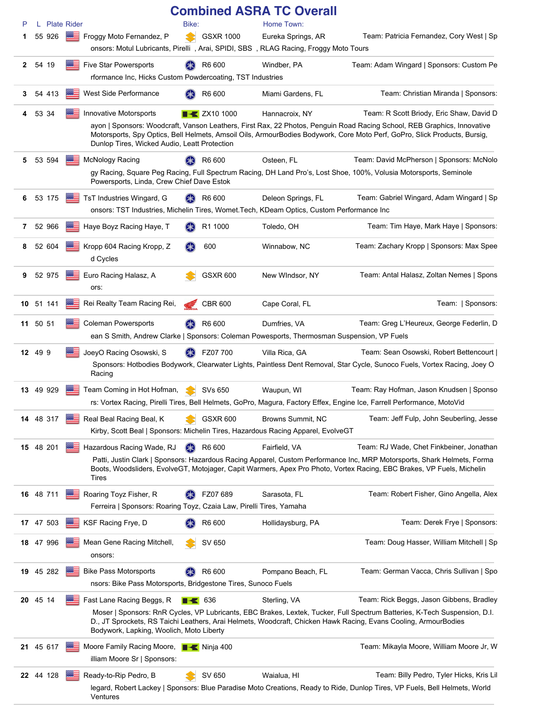|              |          |           |                             |                                                                                                                          |        |                         | <b>Combined ASRA TC Overall</b>  |                                                                                                                                                                                                                                                                                                  |
|--------------|----------|-----------|-----------------------------|--------------------------------------------------------------------------------------------------------------------------|--------|-------------------------|----------------------------------|--------------------------------------------------------------------------------------------------------------------------------------------------------------------------------------------------------------------------------------------------------------------------------------------------|
| P<br>1       |          | 55 926    | L Plate Rider<br><b>BBC</b> | Froggy Moto Fernandez, P                                                                                                 | Bike:  | <b>GSXR 1000</b>        | Home Town:<br>Eureka Springs, AR | Team: Patricia Fernandez, Cory West   Sp                                                                                                                                                                                                                                                         |
|              |          |           |                             | onsors: Motul Lubricants, Pirelli, Arai, SPIDI, SBS, RLAG Racing, Froggy Moto Tours                                      |        |                         |                                  |                                                                                                                                                                                                                                                                                                  |
| $\mathbf{2}$ | 54 19    |           |                             | <b>Five Star Powersports</b>                                                                                             |        | R6 600                  | Windber, PA                      | Team: Adam Wingard   Sponsors: Custom Pe                                                                                                                                                                                                                                                         |
|              |          |           |                             | rformance Inc, Hicks Custom Powdercoating, TST Industries                                                                |        |                         |                                  |                                                                                                                                                                                                                                                                                                  |
|              |          |           |                             |                                                                                                                          |        |                         |                                  |                                                                                                                                                                                                                                                                                                  |
| 3            |          | 54 413    |                             | West Side Performance                                                                                                    |        | R6 600                  | Miami Gardens, FL                | Team: Christian Miranda   Sponsors:                                                                                                                                                                                                                                                              |
| 4            | 53 34    |           |                             | <b>Innovative Motorsports</b><br>Dunlop Tires, Wicked Audio, Leatt Protection                                            |        | $\rightarrow$ ZX10 1000 | Hannacroix, NY                   | Team: R Scott Briody, Eric Shaw, David D<br>ayon   Sponsors: Woodcraft, Vanson Leathers, First Rax, 22 Photos, Penguin Road Racing School, REB Graphics, Innovative<br>Motorsports, Spy Optics, Bell Helmets, Amsoil Oils, ArmourBodies Bodywork, Core Moto Perf, GoPro, Slick Products, Bursig, |
| 5            |          | 53 594    |                             | <b>McNology Racing</b>                                                                                                   |        | R6 600                  | Osteen, FL                       | Team: David McPherson   Sponsors: McNolo                                                                                                                                                                                                                                                         |
|              |          |           |                             | Powersports, Linda, Crew Chief Dave Estok                                                                                |        |                         |                                  | gy Racing, Square Peg Racing, Full Spectrum Racing, DH Land Pro's, Lost Shoe, 100%, Volusia Motorsports, Seminole                                                                                                                                                                                |
| 6            |          | 53 175    |                             | TsT Industries Wingard, G<br>onsors: TST Industries, Michelin Tires, Womet. Tech, KDeam Optics, Custom Performance Inc   |        | R6 600                  | Deleon Springs, FL               | Team: Gabriel Wingard, Adam Wingard   Sp                                                                                                                                                                                                                                                         |
| 7            |          | 52 966    |                             | Haye Boyz Racing Haye, T                                                                                                 |        | R1 1000                 | Toledo, OH                       | Team: Tim Haye, Mark Haye   Sponsors:                                                                                                                                                                                                                                                            |
| 8            |          | 52 604    |                             | Kropp 604 Racing Kropp, Z<br>d Cycles                                                                                    | $(* )$ | 600                     | Winnabow, NC                     | Team: Zachary Kropp   Sponsors: Max Spee                                                                                                                                                                                                                                                         |
| 9            |          | 52 975    |                             | Euro Racing Halasz, A<br>ors:                                                                                            |        | <b>GSXR 600</b>         | New WIndsor, NY                  | Team: Antal Halasz, Zoltan Nemes   Spons                                                                                                                                                                                                                                                         |
|              |          | 10 51 141 | ⋙                           | Rei Realty Team Racing Rei,                                                                                              |        | <b>CBR 600</b>          | Cape Coral, FL                   | Team:   Sponsors:                                                                                                                                                                                                                                                                                |
|              | 11 50 51 |           |                             | <b>Coleman Powersports</b><br>ean S Smith, Andrew Clarke   Sponsors: Coleman Powesports, Thermosman Suspension, VP Fuels |        | R6 600                  | Dumfries, VA                     | Team: Greg L'Heureux, George Federlin, D                                                                                                                                                                                                                                                         |
|              | 12 49 9  |           |                             | JoeyO Racing Osowski, S                                                                                                  | (米)    | FZ07 700                | Villa Rica, GA                   | Team: Sean Osowski, Robert Bettencourt                                                                                                                                                                                                                                                           |
|              |          |           |                             | Racing                                                                                                                   |        |                         |                                  | Sponsors: Hotbodies Bodywork, Clearwater Lights, Paintless Dent Removal, Star Cycle, Sunoco Fuels, Vortex Racing, Joey O                                                                                                                                                                         |
|              |          | 13 49 929 |                             | Team Coming in Hot Hofman,                                                                                               |        | SVs 650                 | Waupun, WI                       | Team: Ray Hofman, Jason Knudsen   Sponso                                                                                                                                                                                                                                                         |
|              |          |           |                             |                                                                                                                          |        |                         |                                  | rs: Vortex Racing, Pirelli Tires, Bell Helmets, GoPro, Magura, Factory Effex, Engine Ice, Farrell Performance, MotoVid                                                                                                                                                                           |
|              |          | 14 48 317 | ▩☰                          | Real Beal Racing Beal, K<br>Kirby, Scott Beal   Sponsors: Michelin Tires, Hazardous Racing Apparel, EvolveGT             |        | <b>GSXR 600</b>         | Browns Summit, NC                | Team: Jeff Fulp, John Seuberling, Jesse                                                                                                                                                                                                                                                          |
|              |          | 15 48 201 |                             | Hazardous Racing Wade, RJ<br>Tires                                                                                       | (米)    | R6 600                  | Fairfield, VA                    | Team: RJ Wade, Chet Finkbeiner, Jonathan<br>Patti, Justin Clark   Sponsors: Hazardous Racing Apparel, Custom Performance Inc, MRP Motorsports, Shark Helmets, Forma<br>Boots, Woodsliders, EvolveGT, Motojager, Capit Warmers, Apex Pro Photo, Vortex Racing, EBC Brakes, VP Fuels, Michelin     |
|              |          | 16 48 711 | ⋙                           | Roaring Toyz Fisher, R                                                                                                   |        | FZ07 689                | Sarasota, FL                     | Team: Robert Fisher, Gino Angella, Alex                                                                                                                                                                                                                                                          |
|              |          |           |                             | Ferreira   Sponsors: Roaring Toyz, Czaia Law, Pirelli Tires, Yamaha                                                      |        |                         |                                  |                                                                                                                                                                                                                                                                                                  |
|              |          | 17 47 503 |                             | KSF Racing Frye, D                                                                                                       |        | R6 600                  | Hollidaysburg, PA                | Team: Derek Frye   Sponsors:                                                                                                                                                                                                                                                                     |
|              |          | 18 47 996 |                             | Mean Gene Racing Mitchell,<br>onsors:                                                                                    |        | SV 650                  |                                  | Team: Doug Hasser, William Mitchell   Sp                                                                                                                                                                                                                                                         |
|              |          | 19 45 282 |                             | <b>Bike Pass Motorsports</b>                                                                                             |        | R6 600                  | Pompano Beach, FL                | Team: German Vacca, Chris Sullivan   Spo                                                                                                                                                                                                                                                         |
|              |          |           |                             | nsors: Bike Pass Motorsports, Bridgestone Tires, Sunoco Fuels                                                            |        |                         |                                  |                                                                                                                                                                                                                                                                                                  |
|              | 20 45 14 |           |                             | Fast Lane Racing Beggs, R                                                                                                |        | $\blacksquare$ 636      | Sterling, VA                     | Team: Rick Beggs, Jason Gibbens, Bradley                                                                                                                                                                                                                                                         |
|              |          |           |                             | Bodywork, Lapking, Woolich, Moto Liberty                                                                                 |        |                         |                                  | Moser   Sponsors: RnR Cycles, VP Lubricants, EBC Brakes, Lextek, Tucker, Full Spectrum Batteries, K-Tech Suspension, D.I.<br>D., JT Sprockets, RS Taichi Leathers, Arai Helmets, Woodcraft, Chicken Hawk Racing, Evans Cooling, ArmourBodies                                                     |
|              |          | 21 45 617 |                             | Moore Family Racing Moore, <b>Notain Allen</b> Ninja 400<br>illiam Moore Sr   Sponsors:                                  |        |                         |                                  | Team: Mikayla Moore, William Moore Jr, W                                                                                                                                                                                                                                                         |
|              |          | 22 44 128 | ※三                          | Ready-to-Rip Pedro, B                                                                                                    |        | SV 650                  | Waialua, HI                      | Team: Billy Pedro, Tyler Hicks, Kris Lil                                                                                                                                                                                                                                                         |
|              |          |           |                             | Ventures                                                                                                                 |        |                         |                                  | legard, Robert Lackey   Sponsors: Blue Paradise Moto Creations, Ready to Ride, Dunlop Tires, VP Fuels, Bell Helmets, World                                                                                                                                                                       |